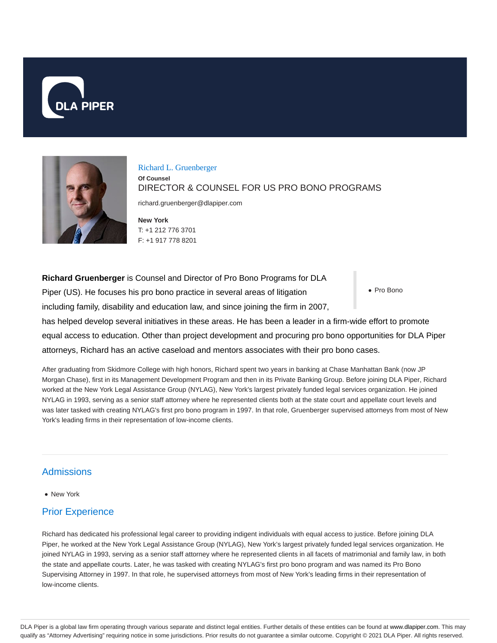



Richard L. Gruenberger **Of Counsel** DIRECTOR & COUNSEL FOR US PRO BONO PROGRAMS

richard.gruenberger@dlapiper.com

**New York** T: +1 212 776 3701 F: +1 917 778 8201

Pro Bono **Richard Gruenberger** is Counsel and Director of Pro Bono Programs for DLA Piper (US). He focuses his pro bono practice in several areas of litigation including family, disability and education law, and since joining the firm in 2007, has helped develop several initiatives in these areas. He has been a leader in a firm-wide effort to promote equal access to education. Other than project development and procuring pro bono opportunities for DLA Piper attorneys, Richard has an active caseload and mentors associates with their pro bono cases.

After graduating from Skidmore College with high honors, Richard spent two years in banking at Chase Manhattan Bank (now JP Morgan Chase), first in its Management Development Program and then in its Private Banking Group. Before joining DLA Piper, Richard worked at the New York Legal Assistance Group (NYLAG), New York's largest privately funded legal services organization. He joined NYLAG in 1993, serving as a senior staff attorney where he represented clients both at the state court and appellate court levels and was later tasked with creating NYLAG's first pro bono program in 1997. In that role, Gruenberger supervised attorneys from most of New York's leading firms in their representation of low-income clients.

## **Admissions**

• New York

## Prior Experience

Richard has dedicated his professional legal career to providing indigent individuals with equal access to justice. Before joining DLA Piper, he worked at the New York Legal Assistance Group (NYLAG), New York's largest privately funded legal services organization. He joined NYLAG in 1993, serving as a senior staff attorney where he represented clients in all facets of matrimonial and family law, in both the state and appellate courts. Later, he was tasked with creating NYLAG's first pro bono program and was named its Pro Bono Supervising Attorney in 1997. In that role, he supervised attorneys from most of New York's leading firms in their representation of low-income clients.

DLA Piper is a global law firm operating through various separate and distinct legal entities. Further details of these entities can be found at www.dlapiper.com. This may qualify as "Attorney Advertising" requiring notice in some jurisdictions. Prior results do not guarantee a similar outcome. Copyright © 2021 DLA Piper. All rights reserved.